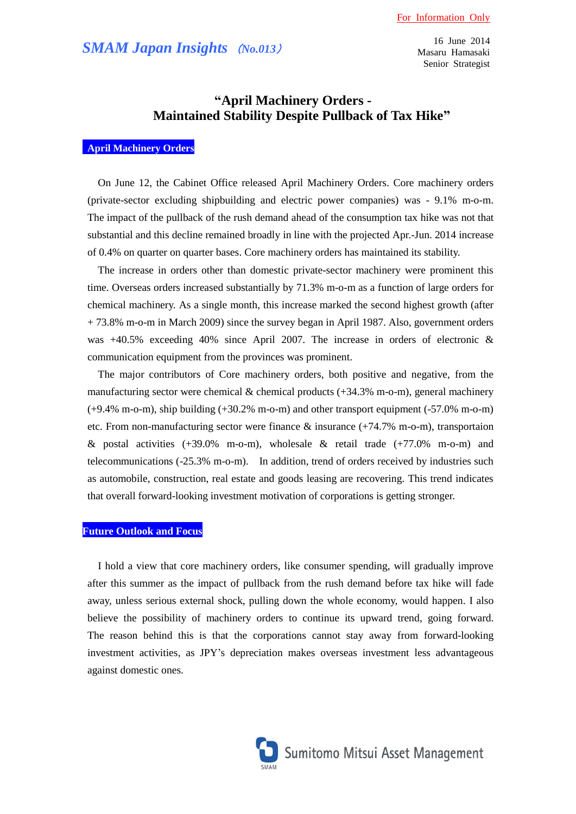16 June 2014 Masaru Hamasaki Senior Strategist

# **"April Machinery Orders - Maintained Stability Despite Pullback of Tax Hike"**

## **April Machinery Orders**

On June 12, the Cabinet Office released April Machinery Orders. Core machinery orders (private-sector excluding shipbuilding and electric power companies) was - 9.1% m-o-m. The impact of the pullback of the rush demand ahead of the consumption tax hike was not that substantial and this decline remained broadly in line with the projected Apr.-Jun. 2014 increase of 0.4% on quarter on quarter bases. Core machinery orders has maintained its stability.

The increase in orders other than domestic private-sector machinery were prominent this time. Overseas orders increased substantially by 71.3% m-o-m as a function of large orders for chemical machinery. As a single month, this increase marked the second highest growth (after + 73.8% m-o-m in March 2009) since the survey began in April 1987. Also, government orders was  $+40.5\%$  exceeding 40% since April 2007. The increase in orders of electronic & communication equipment from the provinces was prominent.

The major contributors of Core machinery orders, both positive and negative, from the manufacturing sector were chemical  $\&$  chemical products (+34.3% m-o-m), general machinery (+9.4% m-o-m), ship building (+30.2% m-o-m) and other transport equipment (-57.0% m-o-m) etc. From non-manufacturing sector were finance & insurance (+74.7% m-o-m), transportaion & postal activities  $(+39.0\%$  m-o-m), wholesale & retail trade  $(+77.0\%$  m-o-m) and telecommunications (-25.3% m-o-m). In addition, trend of orders received by industries such as automobile, construction, real estate and goods leasing are recovering. This trend indicates that overall forward-looking investment motivation of corporations is getting stronger.

### **Future Outlook and Focus**

I hold a view that core machinery orders, like consumer spending, will gradually improve after this summer as the impact of pullback from the rush demand before tax hike will fade away, unless serious external shock, pulling down the whole economy, would happen. I also believe the possibility of machinery orders to continue its upward trend, going forward. The reason behind this is that the corporations cannot stay away from forward-looking investment activities, as JPY's depreciation makes overseas investment less advantageous against domestic ones.